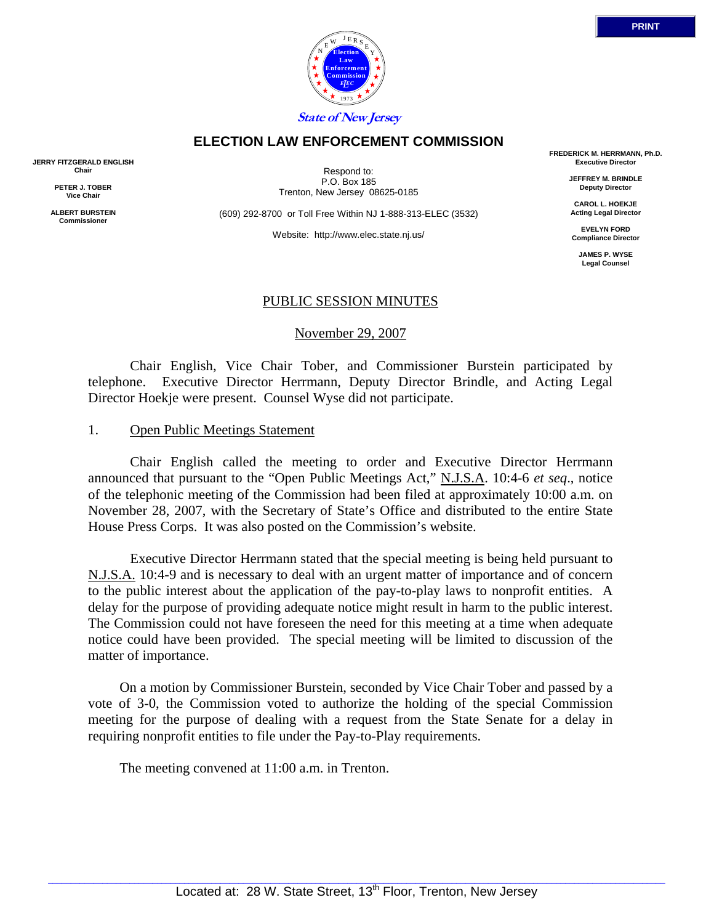

## **ELECTION LAW ENFORCEMENT COMMISSION**

**JERRY FITZGERALD ENGLISH Chair** 

> **PETER J. TOBER Vice Chair**

**ALBERT BURSTEIN Commissioner** 

Respond to: P.O. Box 185 Trenton, New Jersey 08625-0185

(609) 292-8700 or Toll Free Within NJ 1-888-313-ELEC (3532)

Website: http://www.elec.state.nj.us/

**FREDERICK M. HERRMANN, Ph.D. Executive Director** 

> **JEFFREY M. BRINDLE Deputy Director**

**CAROL L. HOEKJE Acting Legal Director** 

**EVELYN FORD Compliance Director** 

**JAMES P. WYSE Legal Counsel** 

## PUBLIC SESSION MINUTES

#### November 29, 2007

 Chair English, Vice Chair Tober, and Commissioner Burstein participated by telephone. Executive Director Herrmann, Deputy Director Brindle, and Acting Legal Director Hoekje were present. Counsel Wyse did not participate.

#### 1. Open Public Meetings Statement

 Chair English called the meeting to order and Executive Director Herrmann announced that pursuant to the "Open Public Meetings Act," N.J.S.A. 10:4-6 *et seq*., notice of the telephonic meeting of the Commission had been filed at approximately 10:00 a.m. on November 28, 2007, with the Secretary of State's Office and distributed to the entire State House Press Corps. It was also posted on the Commission's website.

 Executive Director Herrmann stated that the special meeting is being held pursuant to N.J.S.A. 10:4-9 and is necessary to deal with an urgent matter of importance and of concern to the public interest about the application of the pay-to-play laws to nonprofit entities. A delay for the purpose of providing adequate notice might result in harm to the public interest. The Commission could not have foreseen the need for this meeting at a time when adequate notice could have been provided. The special meeting will be limited to discussion of the matter of importance.

 On a motion by Commissioner Burstein, seconded by Vice Chair Tober and passed by a vote of 3-0, the Commission voted to authorize the holding of the special Commission meeting for the purpose of dealing with a request from the State Senate for a delay in requiring nonprofit entities to file under the Pay-to-Play requirements.

The meeting convened at 11:00 a.m. in Trenton.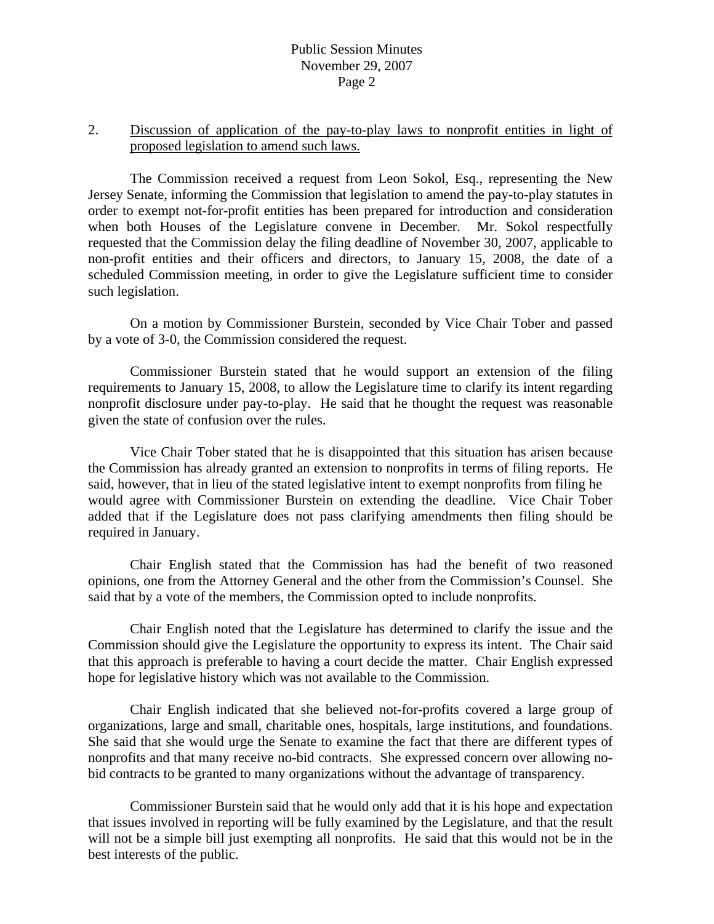# Public Session Minutes November 29, 2007 Page 2

# 2. Discussion of application of the pay-to-play laws to nonprofit entities in light of proposed legislation to amend such laws.

 The Commission received a request from Leon Sokol, Esq., representing the New Jersey Senate, informing the Commission that legislation to amend the pay-to-play statutes in order to exempt not-for-profit entities has been prepared for introduction and consideration when both Houses of the Legislature convene in December. Mr. Sokol respectfully requested that the Commission delay the filing deadline of November 30, 2007, applicable to non-profit entities and their officers and directors, to January 15, 2008, the date of a scheduled Commission meeting, in order to give the Legislature sufficient time to consider such legislation.

 On a motion by Commissioner Burstein, seconded by Vice Chair Tober and passed by a vote of 3-0, the Commission considered the request.

 Commissioner Burstein stated that he would support an extension of the filing requirements to January 15, 2008, to allow the Legislature time to clarify its intent regarding nonprofit disclosure under pay-to-play. He said that he thought the request was reasonable given the state of confusion over the rules.

 Vice Chair Tober stated that he is disappointed that this situation has arisen because the Commission has already granted an extension to nonprofits in terms of filing reports. He said, however, that in lieu of the stated legislative intent to exempt nonprofits from filing he would agree with Commissioner Burstein on extending the deadline. Vice Chair Tober added that if the Legislature does not pass clarifying amendments then filing should be required in January.

 Chair English stated that the Commission has had the benefit of two reasoned opinions, one from the Attorney General and the other from the Commission's Counsel. She said that by a vote of the members, the Commission opted to include nonprofits.

 Chair English noted that the Legislature has determined to clarify the issue and the Commission should give the Legislature the opportunity to express its intent. The Chair said that this approach is preferable to having a court decide the matter. Chair English expressed hope for legislative history which was not available to the Commission.

 Chair English indicated that she believed not-for-profits covered a large group of organizations, large and small, charitable ones, hospitals, large institutions, and foundations. She said that she would urge the Senate to examine the fact that there are different types of nonprofits and that many receive no-bid contracts. She expressed concern over allowing nobid contracts to be granted to many organizations without the advantage of transparency.

 Commissioner Burstein said that he would only add that it is his hope and expectation that issues involved in reporting will be fully examined by the Legislature, and that the result will not be a simple bill just exempting all nonprofits. He said that this would not be in the best interests of the public.